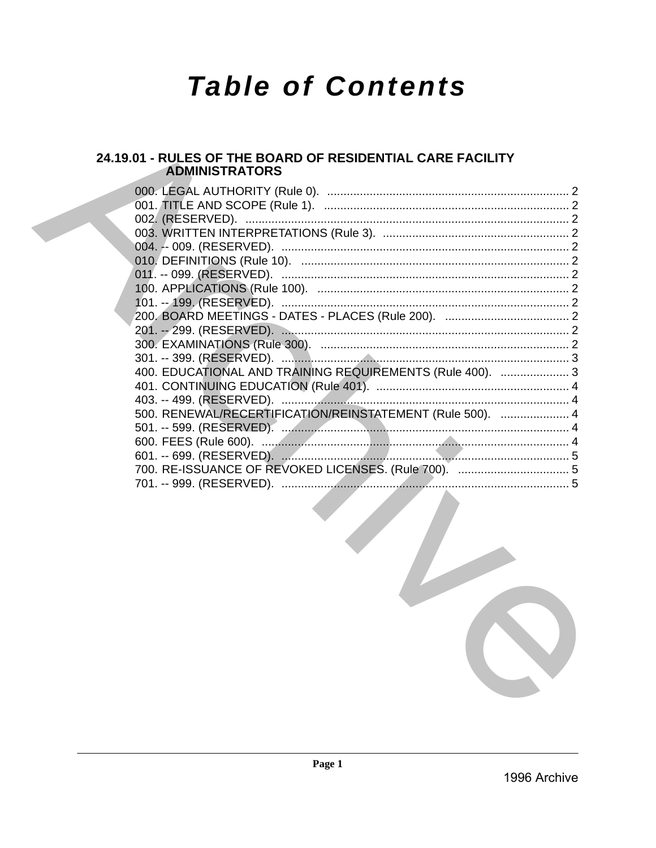# **Table of Contents**

# 24.19.01 - RULES OF THE BOARD OF RESIDENTIAL CARE FACILITY **ADMINISTRATORS**

| 400. EDUCATIONAL AND TRAINING REQUIREMENTS (Rule 400).  3 |  |
|-----------------------------------------------------------|--|
|                                                           |  |
|                                                           |  |
| 500. RENEWAL/RECERTIFICATION/REINSTATEMENT (Rule 500).  4 |  |
|                                                           |  |
|                                                           |  |
|                                                           |  |
|                                                           |  |
|                                                           |  |
|                                                           |  |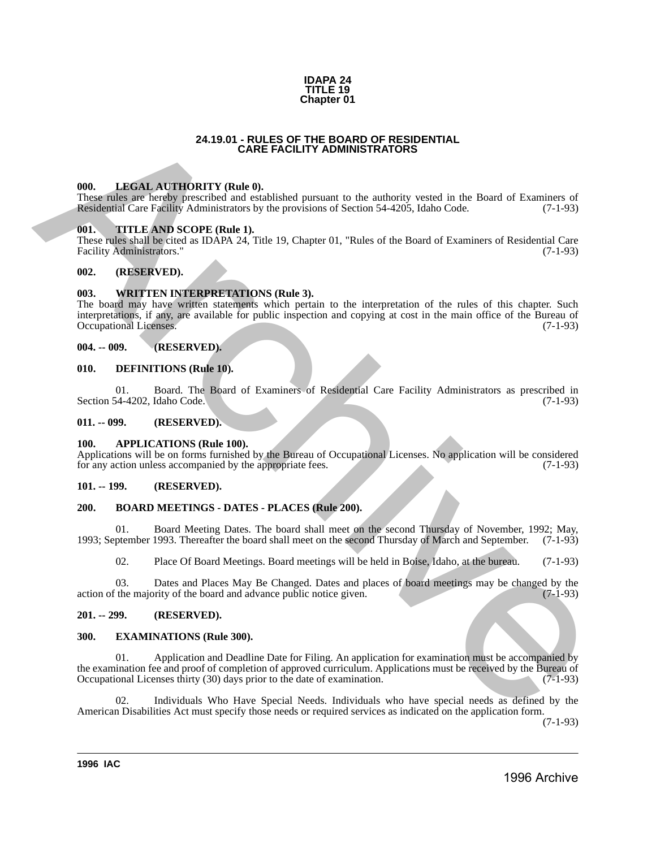#### **IDAPA 24 TITLE 19 Chapter 01**

#### **24.19.01 - RULES OF THE BOARD OF RESIDENTIAL CARE FACILITY ADMINISTRATORS**

#### <span id="page-1-1"></span>**000. LEGAL AUTHORITY (Rule 0).**

These rules are hereby prescribed and established pursuant to the authority vested in the Board of Examiners of Residential Care Facility Administrators by the provisions of Section 54-4205, Idaho Code. (7-1-93)

### <span id="page-1-2"></span>**001. TITLE AND SCOPE (Rule 1).**

These rules shall be cited as IDAPA 24, Title 19, Chapter 01, "Rules of the Board of Examiners of Residential Care Facility Administrators." (7-1-93)

#### <span id="page-1-3"></span>**002. (RESERVED).**

#### <span id="page-1-4"></span>**003. WRITTEN INTERPRETATIONS (Rule 3).**

<span id="page-1-0"></span>The board may have written statements which pertain to the interpretation of the rules of this chapter. Such interpretations, if any, are available for public inspection and copying at cost in the main office of the Bureau of Occupational Licenses. **24.19.01 - ANGELIA (FINE BOARD OF RESIDENTIAL<br>
THE SALE ARCHIVENTY (Buther).**<br>
The most and archiveness of the Board of External of the Board of External of Carliston Cost Fall P. Administration by the provision of Secti

#### <span id="page-1-5"></span>**004. -- 009. (RESERVED).**

#### <span id="page-1-6"></span>**010. DEFINITIONS (Rule 10).**

01. Board. The Board of Examiners of Residential Care Facility Administrators as prescribed in 54-4202, Idaho Code. (7-1-93) Section 54-4202, Idaho Code.

#### <span id="page-1-7"></span>**011. -- 099. (RESERVED).**

#### <span id="page-1-8"></span>**100. APPLICATIONS (Rule 100).**

Applications will be on forms furnished by the Bureau of Occupational Licenses. No application will be considered for any action unless accompanied by the appropriate fees. (7-1-93)

#### <span id="page-1-9"></span>**101. -- 199. (RESERVED).**

#### <span id="page-1-10"></span>**200. BOARD MEETINGS - DATES - PLACES (Rule 200).**

01. Board Meeting Dates. The board shall meet on the second Thursday of November, 1992; May, ptember 1993. Thereafter the board shall meet on the second Thursday of March and September. (7-1-93) 1993; September 1993. Thereafter the board shall meet on the second Thursday of March and September.

02. Place Of Board Meetings. Board meetings will be held in Boise, Idaho, at the bureau. (7-1-93)

03. Dates and Places May Be Changed. Dates and places of board meetings may be changed by the the majority of the board and advance public notice given. (7-1-93) action of the majority of the board and advance public notice given.

#### <span id="page-1-11"></span>**201. -- 299. (RESERVED).**

#### <span id="page-1-12"></span>**300. EXAMINATIONS (Rule 300).**

01. Application and Deadline Date for Filing. An application for examination must be accompanied by the examination fee and proof of completion of approved curriculum. Applications must be received by the Bureau of Occupational Licenses thirty (30) days prior to the date of examination. (7-1-93) Occupational Licenses thirty (30) days prior to the date of examination.

Individuals Who Have Special Needs. Individuals who have special needs as defined by the American Disabilities Act must specify those needs or required services as indicated on the application form.

(7-1-93)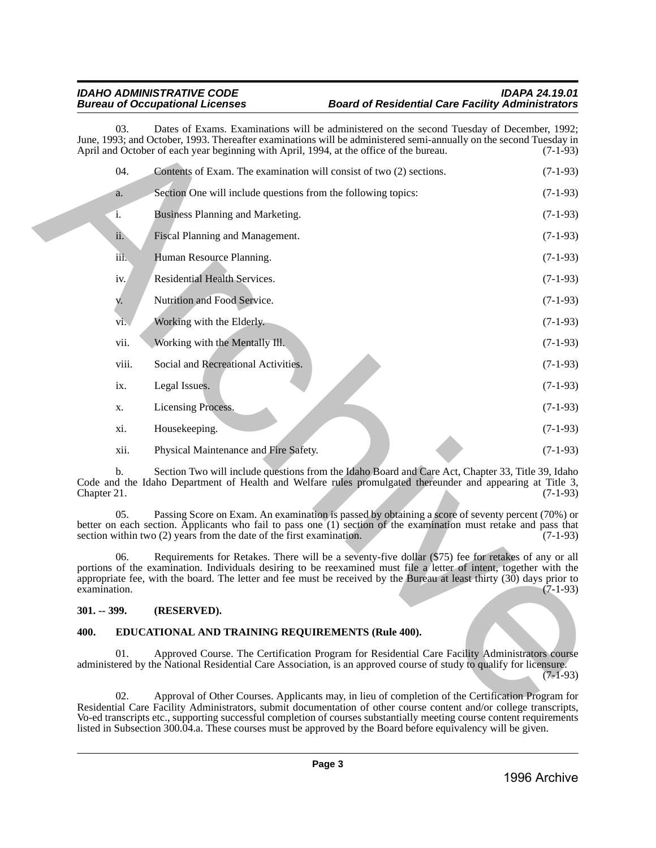# *IDAHO ADMINISTRATIVE CODE IDAPA 24.19.01* **Board of Residential Care Facility Administrators**

| 03.                       | Dates of Exams. Examinations will be administered on the second Tuesday of December, 1992;<br>June, 1993; and October, 1993. Thereafter examinations will be administered semi-annually on the second Tuesday in<br>April and October of each year beginning with April, 1994, at the office of the bureau.                                                     | $(7-1-93)$ |  |  |  |
|---------------------------|-----------------------------------------------------------------------------------------------------------------------------------------------------------------------------------------------------------------------------------------------------------------------------------------------------------------------------------------------------------------|------------|--|--|--|
| 04.                       | Contents of Exam. The examination will consist of two (2) sections.                                                                                                                                                                                                                                                                                             | $(7-1-93)$ |  |  |  |
| a.                        | Section One will include questions from the following topics:                                                                                                                                                                                                                                                                                                   | $(7-1-93)$ |  |  |  |
| i.                        | Business Planning and Marketing.                                                                                                                                                                                                                                                                                                                                | $(7-1-93)$ |  |  |  |
| ii.                       | Fiscal Planning and Management.                                                                                                                                                                                                                                                                                                                                 | $(7-1-93)$ |  |  |  |
| iii.                      | Human Resource Planning.                                                                                                                                                                                                                                                                                                                                        | $(7-1-93)$ |  |  |  |
| iv.                       | Residential Health Services.                                                                                                                                                                                                                                                                                                                                    | $(7-1-93)$ |  |  |  |
| v.                        | Nutrition and Food Service.                                                                                                                                                                                                                                                                                                                                     | $(7-1-93)$ |  |  |  |
| Vi.                       | Working with the Elderly.                                                                                                                                                                                                                                                                                                                                       | $(7-1-93)$ |  |  |  |
| vii.                      | Working with the Mentally Ill.                                                                                                                                                                                                                                                                                                                                  | $(7-1-93)$ |  |  |  |
| viii.                     | Social and Recreational Activities.                                                                                                                                                                                                                                                                                                                             | $(7-1-93)$ |  |  |  |
| $\mathbf{1} \mathbf{X}$ . | Legal Issues.                                                                                                                                                                                                                                                                                                                                                   | $(7-1-93)$ |  |  |  |
| X.                        | Licensing Process.                                                                                                                                                                                                                                                                                                                                              | $(7-1-93)$ |  |  |  |
| xi.                       | Housekeeping.                                                                                                                                                                                                                                                                                                                                                   | $(7-1-93)$ |  |  |  |
| xii.                      | Physical Maintenance and Fire Safety.                                                                                                                                                                                                                                                                                                                           | $(7-1-93)$ |  |  |  |
| b.<br>Chapter 21.         | Section Two will include questions from the Idaho Board and Care Act, Chapter 33, Title 39, Idaho<br>Code and the Idaho Department of Health and Welfare rules promulgated thereunder and appearing at Title 3,                                                                                                                                                 | $(7-1-93)$ |  |  |  |
| 05.                       | Passing Score on Exam. An examination is passed by obtaining a score of seventy percent (70%) or<br>better on each section. Applicants who fail to pass one (1) section of the examination must retake and pass that<br>section within two (2) years from the date of the first examination.                                                                    | $(7-1-93)$ |  |  |  |
| 06.<br>examination.       | Requirements for Retakes. There will be a seventy-five dollar (\$75) fee for retakes of any or all<br>portions of the examination. Individuals desiring to be reexamined must file a letter of intent, together with the<br>appropriate fee, with the board. The letter and fee must be received by the Bureau at least thirty (30) days prior to<br>$(7-1-93)$ |            |  |  |  |
| $301. - 399.$             | (RESERVED).                                                                                                                                                                                                                                                                                                                                                     |            |  |  |  |
| 400.                      | EDUCATIONAL AND TRAINING REQUIREMENTS (Rule 400).                                                                                                                                                                                                                                                                                                               |            |  |  |  |
| 01.                       | Approved Course. The Certification Program for Residential Care Facility Administrators course<br>administered by the National Residential Care Association, is an approved course of study to qualify for licensure.                                                                                                                                           | $(7-1-93)$ |  |  |  |
| 02.                       | Approval of Other Courses. Applicants may, in lieu of completion of the Certification Program for<br>Residential Care Facility Administrators, submit documentation of other course content and/or college transcripts,                                                                                                                                         |            |  |  |  |

# <span id="page-2-0"></span>**301. -- 399. (RESERVED).**

# <span id="page-2-1"></span>**400. EDUCATIONAL AND TRAINING REQUIREMENTS (Rule 400).**

02. Approval of Other Courses. Applicants may, in lieu of completion of the Certification Program for Residential Care Facility Administrators, submit documentation of other course content and/or college transcripts, Vo-ed transcripts etc., supporting successful completion of courses substantially meeting course content requirements listed in Subsection 300.04.a. These courses must be approved by the Board before equivalency will be given.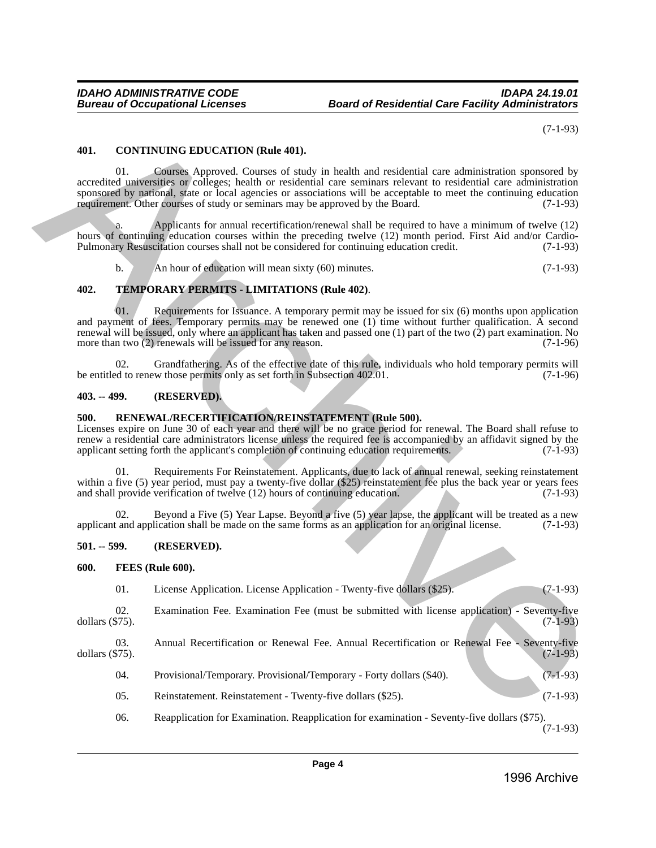# <span id="page-3-0"></span>**401. CONTINUING EDUCATION (Rule 401).**

# **402. TEMPORARY PERMITS - LIMITATIONS (Rule 402)**.

# <span id="page-3-1"></span>**403. -- 499. (RESERVED).**

# <span id="page-3-2"></span>**500. RENEWAL/RECERTIFICATION/REINSTATEMENT (Rule 500).**

# <span id="page-3-3"></span>**501. -- 599. (RESERVED).**

#### <span id="page-3-4"></span>**600. FEES (Rule 600).**

|                                                                                                                                                                                                                                                                                                                                                                                                                 |     | $(7-1-93)$                                                                                                                                                                                                                                                                                                                                                                                                                                 |  |  |  |
|-----------------------------------------------------------------------------------------------------------------------------------------------------------------------------------------------------------------------------------------------------------------------------------------------------------------------------------------------------------------------------------------------------------------|-----|--------------------------------------------------------------------------------------------------------------------------------------------------------------------------------------------------------------------------------------------------------------------------------------------------------------------------------------------------------------------------------------------------------------------------------------------|--|--|--|
| 401.                                                                                                                                                                                                                                                                                                                                                                                                            |     | <b>CONTINUING EDUCATION (Rule 401).</b>                                                                                                                                                                                                                                                                                                                                                                                                    |  |  |  |
|                                                                                                                                                                                                                                                                                                                                                                                                                 | 01. | Courses Approved. Courses of study in health and residential care administration sponsored by<br>accredited universities or colleges; health or residential care seminars relevant to residential care administration<br>sponsored by national, state or local agencies or associations will be acceptable to meet the continuing education<br>requirement. Other courses of study or seminars may be approved by the Board.<br>$(7-1-93)$ |  |  |  |
|                                                                                                                                                                                                                                                                                                                                                                                                                 | a.  | Applicants for annual recertification/renewal shall be required to have a minimum of twelve (12)<br>hours of continuing education courses within the preceding twelve (12) month period. First Aid and/or Cardio-<br>Pulmonary Resuscitation courses shall not be considered for continuing education credit.<br>$(7-1-93)$                                                                                                                |  |  |  |
|                                                                                                                                                                                                                                                                                                                                                                                                                 | b.  | An hour of education will mean sixty (60) minutes.<br>$(7-1-93)$                                                                                                                                                                                                                                                                                                                                                                           |  |  |  |
| 402.                                                                                                                                                                                                                                                                                                                                                                                                            |     | TEMPORARY PERMITS - LIMITATIONS (Rule 402).                                                                                                                                                                                                                                                                                                                                                                                                |  |  |  |
|                                                                                                                                                                                                                                                                                                                                                                                                                 | 01. | Requirements for Issuance. A temporary permit may be issued for six (6) months upon application<br>and payment of fees. Temporary permits may be renewed one (1) time without further qualification. A second<br>renewal will be issued, only where an applicant has taken and passed one (1) part of the two (2) part examination. No<br>more than two (2) renewals will be issued for any reason.<br>$(7-1-96)$                          |  |  |  |
|                                                                                                                                                                                                                                                                                                                                                                                                                 | 02. | Grandfathering. As of the effective date of this rule, individuals who hold temporary permits will<br>be entitled to renew those permits only as set forth in Subsection 402.01.<br>$(7-1-96)$                                                                                                                                                                                                                                             |  |  |  |
| $403. -499.$                                                                                                                                                                                                                                                                                                                                                                                                    |     | (RESERVED).                                                                                                                                                                                                                                                                                                                                                                                                                                |  |  |  |
| RENEWAL/RECERTIFICATION/REINSTATEMENT (Rule 500).<br>500.<br>Licenses expire on June 30 of each year and there will be no grace period for renewal. The Board shall refuse to<br>renew a residential care administrators license unless the required fee is accompanied by an affidavit signed by the<br>applicant setting forth the applicant's completion of continuing education requirements.<br>$(7-1-93)$ |     |                                                                                                                                                                                                                                                                                                                                                                                                                                            |  |  |  |
|                                                                                                                                                                                                                                                                                                                                                                                                                 | 01. | Requirements For Reinstatement. Applicants, due to lack of annual renewal, seeking reinstatement<br>within a five (5) year period, must pay a twenty-five dollar (\$25) reinstatement fee plus the back year or years fees<br>and shall provide verification of twelve (12) hours of continuing education.<br>$(7-1-93)$                                                                                                                   |  |  |  |
|                                                                                                                                                                                                                                                                                                                                                                                                                 | 02. | Beyond a Five (5) Year Lapse. Beyond a five (5) year lapse, the applicant will be treated as a new<br>applicant and application shall be made on the same forms as an application for an original license.<br>$(7-1-93)$                                                                                                                                                                                                                   |  |  |  |
| $501. - 599.$                                                                                                                                                                                                                                                                                                                                                                                                   |     | (RESERVED).                                                                                                                                                                                                                                                                                                                                                                                                                                |  |  |  |
| 600.                                                                                                                                                                                                                                                                                                                                                                                                            |     | FEES (Rule 600).                                                                                                                                                                                                                                                                                                                                                                                                                           |  |  |  |
|                                                                                                                                                                                                                                                                                                                                                                                                                 | 01. | License Application. License Application - Twenty-five dollars (\$25).<br>$(7-1-93)$                                                                                                                                                                                                                                                                                                                                                       |  |  |  |
| dollars $(\$75)$ .                                                                                                                                                                                                                                                                                                                                                                                              | 02. | Examination Fee. Examination Fee (must be submitted with license application) - Seventy-five<br>$(7-1-93)$                                                                                                                                                                                                                                                                                                                                 |  |  |  |
| dollars $(\$75)$ .                                                                                                                                                                                                                                                                                                                                                                                              | 03. | Annual Recertification or Renewal Fee. Annual Recertification or Renewal Fee - Seventy-five<br>$(7-1-93)$                                                                                                                                                                                                                                                                                                                                  |  |  |  |
|                                                                                                                                                                                                                                                                                                                                                                                                                 | 04. | Provisional/Temporary. Provisional/Temporary - Forty dollars (\$40).<br>$(7-1-93)$                                                                                                                                                                                                                                                                                                                                                         |  |  |  |
|                                                                                                                                                                                                                                                                                                                                                                                                                 | 05. | $(7-1-93)$<br>Reinstatement. Reinstatement - Twenty-five dollars (\$25).                                                                                                                                                                                                                                                                                                                                                                   |  |  |  |
|                                                                                                                                                                                                                                                                                                                                                                                                                 | 06. | Reapplication for Examination. Reapplication for examination - Seventy-five dollars (\$75).                                                                                                                                                                                                                                                                                                                                                |  |  |  |